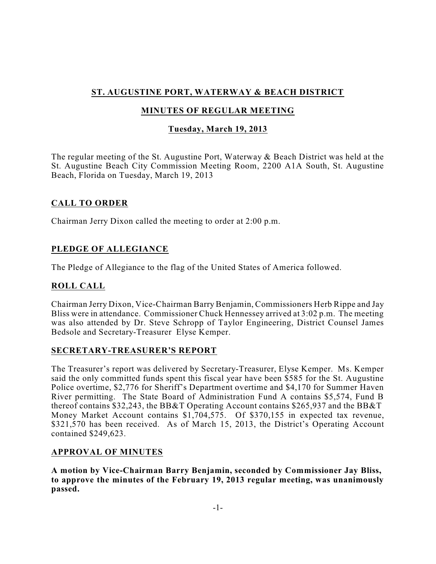# **ST. AUGUSTINE PORT, WATERWAY & BEACH DISTRICT**

# **MINUTES OF REGULAR MEETING**

## **Tuesday, March 19, 2013**

The regular meeting of the St. Augustine Port, Waterway & Beach District was held at the St. Augustine Beach City Commission Meeting Room, 2200 A1A South, St. Augustine Beach, Florida on Tuesday, March 19, 2013

### **CALL TO ORDER**

Chairman Jerry Dixon called the meeting to order at 2:00 p.m.

# **PLEDGE OF ALLEGIANCE**

The Pledge of Allegiance to the flag of the United States of America followed.

## **ROLL CALL**

Chairman Jerry Dixon, Vice-Chairman Barry Benjamin, Commissioners Herb Rippe and Jay Bliss were in attendance. Commissioner Chuck Hennessey arrived at 3:02 p.m. The meeting was also attended by Dr. Steve Schropp of Taylor Engineering, District Counsel James Bedsole and Secretary-Treasurer Elyse Kemper.

### **SECRETARY-TREASURER'S REPORT**

The Treasurer's report was delivered by Secretary-Treasurer, Elyse Kemper. Ms. Kemper said the only committed funds spent this fiscal year have been \$585 for the St. Augustine Police overtime, \$2,776 for Sheriff's Department overtime and \$4,170 for Summer Haven River permitting. The State Board of Administration Fund A contains \$5,574, Fund B thereof contains \$32,243, the BB&T Operating Account contains \$265,937 and the BB&T Money Market Account contains \$1,704,575. Of \$370,155 in expected tax revenue, \$321,570 has been received. As of March 15, 2013, the District's Operating Account contained \$249,623.

### **APPROVAL OF MINUTES**

**A motion by Vice-Chairman Barry Benjamin, seconded by Commissioner Jay Bliss, to approve the minutes of the February 19, 2013 regular meeting, was unanimously passed.**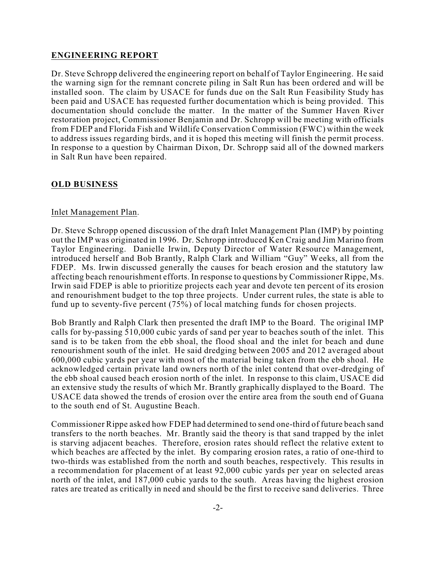#### **ENGINEERING REPORT**

Dr. Steve Schropp delivered the engineering report on behalf of Taylor Engineering. He said the warning sign for the remnant concrete piling in Salt Run has been ordered and will be installed soon. The claim by USACE for funds due on the Salt Run Feasibility Study has been paid and USACE has requested further documentation which is being provided. This documentation should conclude the matter. In the matter of the Summer Haven River restoration project, Commissioner Benjamin and Dr. Schropp will be meeting with officials from FDEP and Florida Fish and Wildlife Conservation Commission (FWC) within the week to address issues regarding birds, and it is hoped this meeting will finish the permit process. In response to a question by Chairman Dixon, Dr. Schropp said all of the downed markers in Salt Run have been repaired.

#### **OLD BUSINESS**

#### Inlet Management Plan.

Dr. Steve Schropp opened discussion of the draft Inlet Management Plan (IMP) by pointing out the IMP was originated in 1996. Dr. Schropp introduced Ken Craig and Jim Marino from Taylor Engineering. Danielle Irwin, Deputy Director of Water Resource Management, introduced herself and Bob Brantly, Ralph Clark and William "Guy" Weeks, all from the FDEP. Ms. Irwin discussed generally the causes for beach erosion and the statutory law affecting beach renourishment efforts. In response to questions by Commissioner Rippe, Ms. Irwin said FDEP is able to prioritize projects each year and devote ten percent of its erosion and renourishment budget to the top three projects. Under current rules, the state is able to fund up to seventy-five percent (75%) of local matching funds for chosen projects.

Bob Brantly and Ralph Clark then presented the draft IMP to the Board. The original IMP calls for by-passing 510,000 cubic yards of sand per year to beaches south of the inlet. This sand is to be taken from the ebb shoal, the flood shoal and the inlet for beach and dune renourishment south of the inlet. He said dredging between 2005 and 2012 averaged about 600,000 cubic yards per year with most of the material being taken from the ebb shoal. He acknowledged certain private land owners north of the inlet contend that over-dredging of the ebb shoal caused beach erosion north of the inlet. In response to this claim, USACE did an extensive study the results of which Mr. Brantly graphically displayed to the Board. The USACE data showed the trends of erosion over the entire area from the south end of Guana to the south end of St. Augustine Beach.

Commissioner Rippe asked how FDEP had determined to send one-third of future beach sand transfers to the north beaches. Mr. Brantly said the theory is that sand trapped by the inlet is starving adjacent beaches. Therefore, erosion rates should reflect the relative extent to which beaches are affected by the inlet. By comparing erosion rates, a ratio of one-third to two-thirds was established from the north and south beaches, respectively. This results in a recommendation for placement of at least 92,000 cubic yards per year on selected areas north of the inlet, and 187,000 cubic yards to the south. Areas having the highest erosion rates are treated as critically in need and should be the first to receive sand deliveries. Three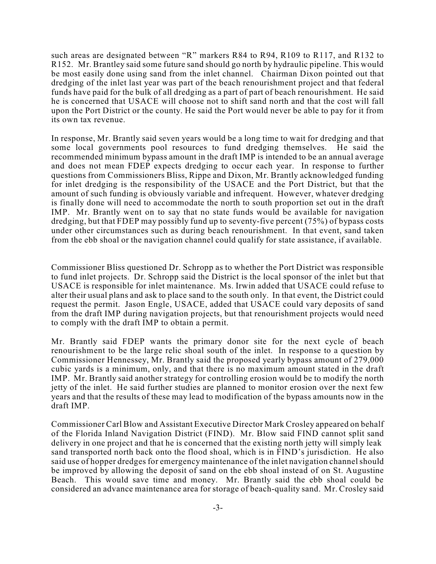such areas are designated between "R" markers R84 to R94, R109 to R117, and R132 to R152. Mr. Brantley said some future sand should go north by hydraulic pipeline. This would be most easily done using sand from the inlet channel. Chairman Dixon pointed out that dredging of the inlet last year was part of the beach renourishment project and that federal funds have paid for the bulk of all dredging as a part of part of beach renourishment. He said he is concerned that USACE will choose not to shift sand north and that the cost will fall upon the Port District or the county. He said the Port would never be able to pay for it from its own tax revenue.

In response, Mr. Brantly said seven years would be a long time to wait for dredging and that some local governments pool resources to fund dredging themselves. He said the recommended minimum bypass amount in the draft IMP is intended to be an annual average and does not mean FDEP expects dredging to occur each year. In response to further questions from Commissioners Bliss, Rippe and Dixon, Mr. Brantly acknowledged funding for inlet dredging is the responsibility of the USACE and the Port District, but that the amount of such funding is obviously variable and infrequent. However, whatever dredging is finally done will need to accommodate the north to south proportion set out in the draft IMP. Mr. Brantly went on to say that no state funds would be available for navigation dredging, but that FDEP may possibly fund up to seventy-five percent (75%) of bypass costs under other circumstances such as during beach renourishment. In that event, sand taken from the ebb shoal or the navigation channel could qualify for state assistance, if available.

Commissioner Bliss questioned Dr. Schropp as to whether the Port District was responsible to fund inlet projects. Dr. Schropp said the District is the local sponsor of the inlet but that USACE is responsible for inlet maintenance. Ms. Irwin added that USACE could refuse to alter their usual plans and ask to place sand to the south only. In that event, the District could request the permit. Jason Engle, USACE, added that USACE could vary deposits of sand from the draft IMP during navigation projects, but that renourishment projects would need to comply with the draft IMP to obtain a permit.

Mr. Brantly said FDEP wants the primary donor site for the next cycle of beach renourishment to be the large relic shoal south of the inlet. In response to a question by Commissioner Hennessey, Mr. Brantly said the proposed yearly bypass amount of 279,000 cubic yards is a minimum, only, and that there is no maximum amount stated in the draft IMP. Mr. Brantly said another strategy for controlling erosion would be to modify the north jetty of the inlet. He said further studies are planned to monitor erosion over the next few years and that the results of these may lead to modification of the bypass amounts now in the draft IMP.

Commissioner Carl Blow and Assistant Executive Director Mark Crosley appeared on behalf of the Florida Inland Navigation District (FIND). Mr. Blow said FIND cannot split sand delivery in one project and that he is concerned that the existing north jetty will simply leak sand transported north back onto the flood shoal, which is in FIND's jurisdiction. He also said use of hopper dredges for emergency maintenance of the inlet navigation channel should be improved by allowing the deposit of sand on the ebb shoal instead of on St. Augustine Beach. This would save time and money. Mr. Brantly said the ebb shoal could be considered an advance maintenance area for storage of beach-quality sand. Mr. Crosley said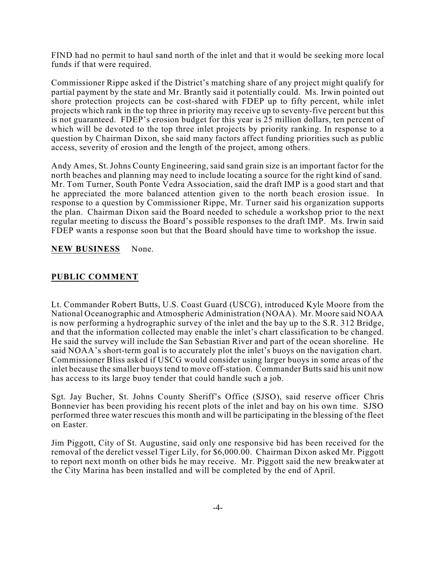FIND had no permit to haul sand north of the inlet and that it would be seeking more local funds if that were required.

Commissioner Rippe asked if the District's matching share of any project might qualify for partial payment by the state and Mr. Brantly said it potentially could. Ms. Irwin pointed out shore protection projects can be cost-shared with FDEP up to fifty percent, while inlet projects which rank in the top three in priority may receive up to seventy-five percent but this is not guaranteed. FDEP's erosion budget for this year is 25 million dollars, ten percent of which will be devoted to the top three inlet projects by priority ranking. In response to a question by Chairman Dixon, she said many factors affect funding priorities such as public access, severity of erosion and the length of the project, among others.

Andy Ames, St. Johns County Engineering, said sand grain size is an important factor for the north beaches and planning may need to include locating a source for the right kind of sand. Mr. Tom Turner, South Ponte Vedra Association, said the draft IMP is a good start and that he appreciated the more balanced attention given to the north beach erosion issue. In response to a question by Commissioner Rippe, Mr. Turner said his organization supports the plan. Chairman Dixon said the Board needed to schedule a workshop prior to the next regular meeting to discuss the Board's possible responses to the draft IMP. Ms. Irwin said FDEP wants a response soon but that the Board should have time to workshop the issue.

#### **NEW BUSINESS** None.

#### **PUBLIC COMMENT**

Lt. Commander Robert Butts, U.S. Coast Guard (USCG), introduced Kyle Moore from the National Oceanographic and Atmospheric Administration (NOAA). Mr. Moore said NOAA is now performing a hydrographic survey of the inlet and the bay up to the S.R. 312 Bridge, and that the information collected may enable the inlet's chart classification to be changed. He said the survey will include the San Sebastian River and part of the ocean shoreline. He said NOAA's short-term goal is to accurately plot the inlet's buoys on the navigation chart. Commissioner Bliss asked if USCG would consider using larger buoys in some areas of the inlet because the smaller buoys tend to move off-station. Commander Butts said his unit now has access to its large buoy tender that could handle such a job.

Sgt. Jay Bucher, St. Johns County Sheriff's Office (SJSO), said reserve officer Chris Bonnevier has been providing his recent plots of the inlet and bay on his own time. SJSO performed three water rescues this month and will be participating in the blessing of the fleet on Easter.

Jim Piggott, City of St. Augustine, said only one responsive bid has been received for the removal of the derelict vessel Tiger Lily, for \$6,000.00. Chairman Dixon asked Mr. Piggott to report next month on other bids he may receive. Mr. Piggott said the new breakwater at the City Marina has been installed and will be completed by the end of April.